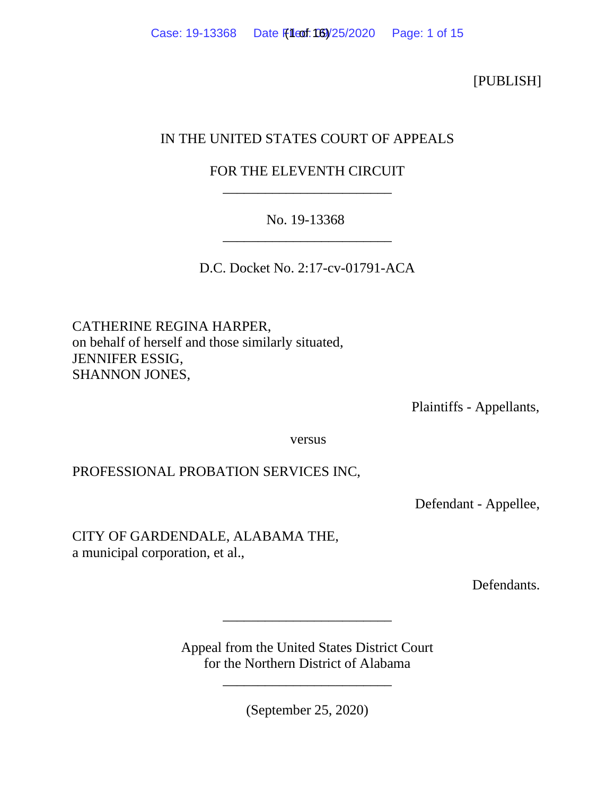[PUBLISH]

# IN THE UNITED STATES COURT OF APPEALS

# FOR THE ELEVENTH CIRCUIT \_\_\_\_\_\_\_\_\_\_\_\_\_\_\_\_\_\_\_\_\_\_\_\_

## No. 19-13368 \_\_\_\_\_\_\_\_\_\_\_\_\_\_\_\_\_\_\_\_\_\_\_\_

D.C. Docket No. 2:17-cv-01791-ACA

CATHERINE REGINA HARPER, on behalf of herself and those similarly situated, JENNIFER ESSIG, SHANNON JONES,

Plaintiffs - Appellants,

versus

## PROFESSIONAL PROBATION SERVICES INC,

Defendant - Appellee,

## CITY OF GARDENDALE, ALABAMA THE, a municipal corporation, et al.,

Defendants.

Appeal from the United States District Court for the Northern District of Alabama

\_\_\_\_\_\_\_\_\_\_\_\_\_\_\_\_\_\_\_\_\_\_\_\_

\_\_\_\_\_\_\_\_\_\_\_\_\_\_\_\_\_\_\_\_\_\_\_\_

(September 25, 2020)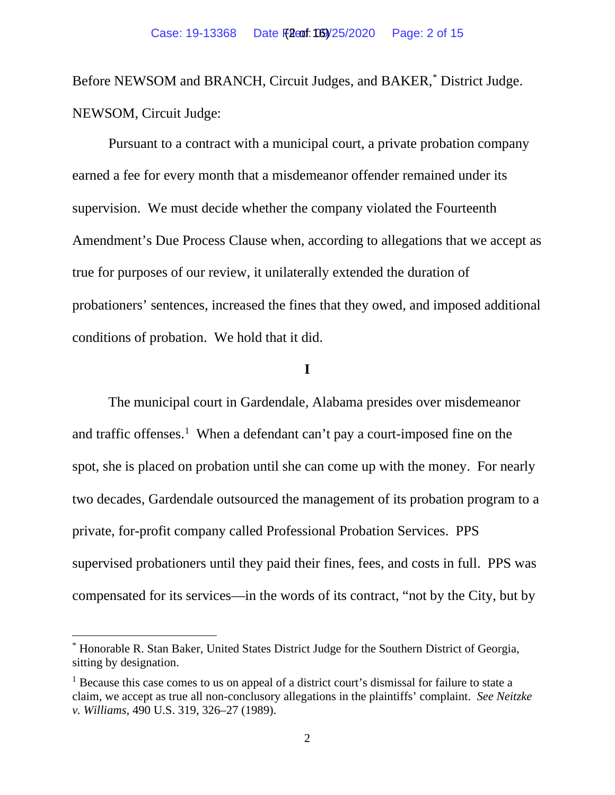Before NEWSOM and BRANCH, Circuit Judges, and BAKER,[\\*](#page-13-0) District Judge. NEWSOM, Circuit Judge:

Pursuant to a contract with a municipal court, a private probation company earned a fee for every month that a misdemeanor offender remained under its supervision. We must decide whether the company violated the Fourteenth Amendment's Due Process Clause when, according to allegations that we accept as true for purposes of our review, it unilaterally extended the duration of probationers' sentences, increased the fines that they owed, and imposed additional conditions of probation. We hold that it did.

### **I**

The municipal court in Gardendale, Alabama presides over misdemeanor and traffic offenses.<sup>[1](#page-13-0)</sup> When a defendant can't pay a court-imposed fine on the spot, she is placed on probation until she can come up with the money. For nearly two decades, Gardendale outsourced the management of its probation program to a private, for-profit company called Professional Probation Services. PPS supervised probationers until they paid their fines, fees, and costs in full. PPS was compensated for its services—in the words of its contract, "not by the City, but by

<sup>\*</sup> Honorable R. Stan Baker, United States District Judge for the Southern District of Georgia, sitting by designation.

<sup>&</sup>lt;sup>1</sup> Because this case comes to us on appeal of a district court's dismissal for failure to state a claim, we accept as true all non-conclusory allegations in the plaintiffs' complaint. *See Neitzke v. Williams*, 490 U.S. 319, 326–27 (1989).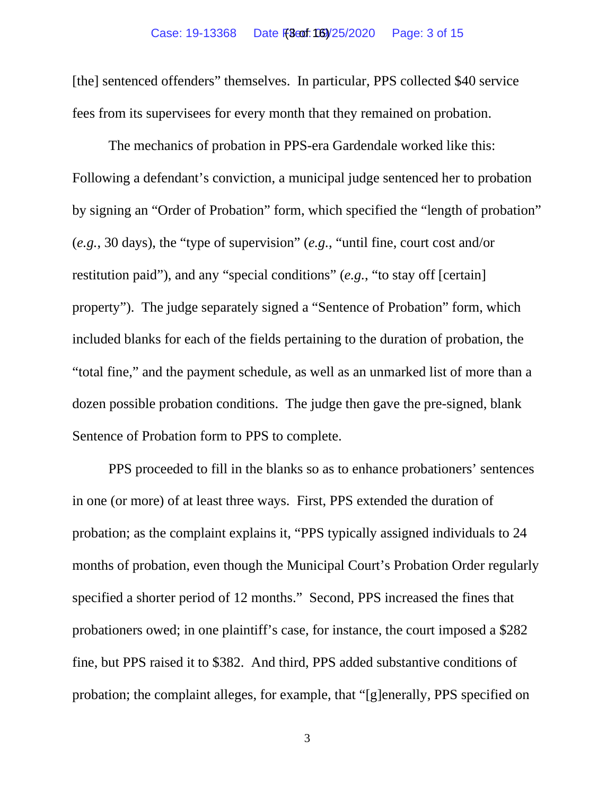[the] sentenced offenders" themselves. In particular, PPS collected \$40 service fees from its supervisees for every month that they remained on probation.

The mechanics of probation in PPS-era Gardendale worked like this: Following a defendant's conviction, a municipal judge sentenced her to probation by signing an "Order of Probation" form, which specified the "length of probation" (*e.g.*, 30 days), the "type of supervision" (*e.g.*, "until fine, court cost and/or restitution paid"), and any "special conditions" (*e.g.*, "to stay off [certain] property"). The judge separately signed a "Sentence of Probation" form, which included blanks for each of the fields pertaining to the duration of probation, the "total fine," and the payment schedule, as well as an unmarked list of more than a dozen possible probation conditions. The judge then gave the pre-signed, blank Sentence of Probation form to PPS to complete.

PPS proceeded to fill in the blanks so as to enhance probationers' sentences in one (or more) of at least three ways. First, PPS extended the duration of probation; as the complaint explains it, "PPS typically assigned individuals to 24 months of probation, even though the Municipal Court's Probation Order regularly specified a shorter period of 12 months." Second, PPS increased the fines that probationers owed; in one plaintiff's case, for instance, the court imposed a \$282 fine, but PPS raised it to \$382. And third, PPS added substantive conditions of probation; the complaint alleges, for example, that "[g]enerally, PPS specified on

3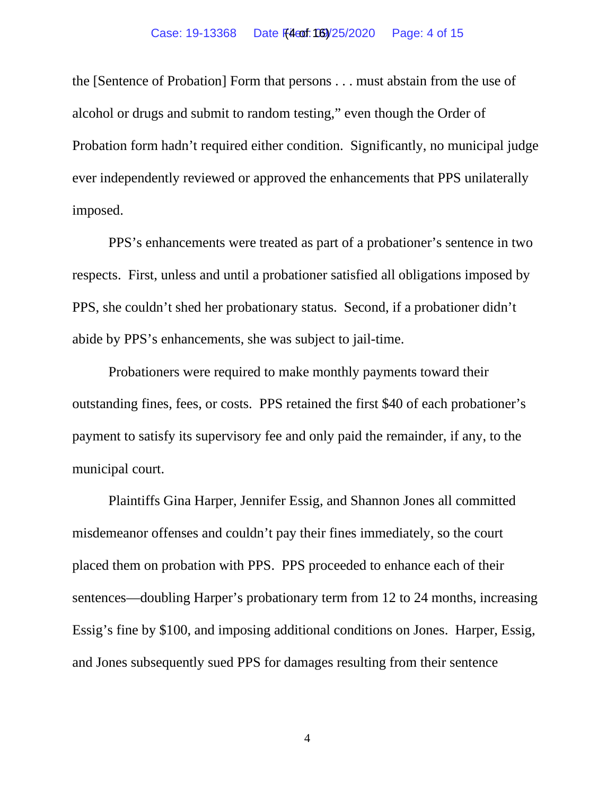the [Sentence of Probation] Form that persons . . . must abstain from the use of alcohol or drugs and submit to random testing," even though the Order of Probation form hadn't required either condition. Significantly, no municipal judge ever independently reviewed or approved the enhancements that PPS unilaterally imposed.

PPS's enhancements were treated as part of a probationer's sentence in two respects. First, unless and until a probationer satisfied all obligations imposed by PPS, she couldn't shed her probationary status. Second, if a probationer didn't abide by PPS's enhancements, she was subject to jail-time.

Probationers were required to make monthly payments toward their outstanding fines, fees, or costs. PPS retained the first \$40 of each probationer's payment to satisfy its supervisory fee and only paid the remainder, if any, to the municipal court.

Plaintiffs Gina Harper, Jennifer Essig, and Shannon Jones all committed misdemeanor offenses and couldn't pay their fines immediately, so the court placed them on probation with PPS. PPS proceeded to enhance each of their sentences—doubling Harper's probationary term from 12 to 24 months, increasing Essig's fine by \$100, and imposing additional conditions on Jones. Harper, Essig, and Jones subsequently sued PPS for damages resulting from their sentence

4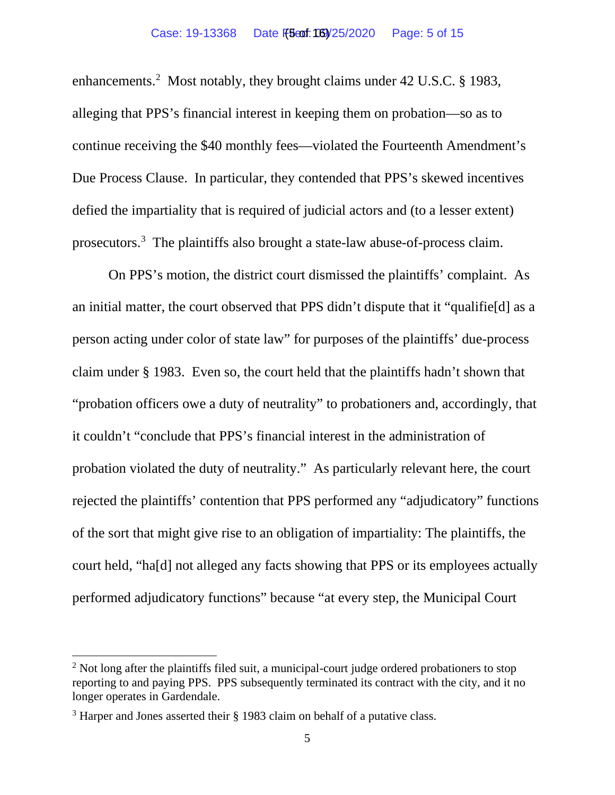enhancements.<sup>[2](#page-13-0)</sup> Most notably, they brought claims under 42 U.S.C. § 1983, alleging that PPS's financial interest in keeping them on probation—so as to continue receiving the \$40 monthly fees—violated the Fourteenth Amendment's Due Process Clause. In particular, they contended that PPS's skewed incentives defied the impartiality that is required of judicial actors and (to a lesser extent) prosecutors.<sup>[3](#page-13-0)</sup> The plaintiffs also brought a state-law abuse-of-process claim.

On PPS's motion, the district court dismissed the plaintiffs' complaint. As an initial matter, the court observed that PPS didn't dispute that it "qualifie[d] as a person acting under color of state law" for purposes of the plaintiffs' due-process claim under § 1983. Even so, the court held that the plaintiffs hadn't shown that "probation officers owe a duty of neutrality" to probationers and, accordingly, that it couldn't "conclude that PPS's financial interest in the administration of probation violated the duty of neutrality." As particularly relevant here, the court rejected the plaintiffs' contention that PPS performed any "adjudicatory" functions of the sort that might give rise to an obligation of impartiality: The plaintiffs, the court held, "ha[d] not alleged any facts showing that PPS or its employees actually performed adjudicatory functions" because "at every step, the Municipal Court

 $2$  Not long after the plaintiffs filed suit, a municipal-court judge ordered probationers to stop reporting to and paying PPS. PPS subsequently terminated its contract with the city, and it no longer operates in Gardendale.

<sup>3</sup> Harper and Jones asserted their § 1983 claim on behalf of a putative class.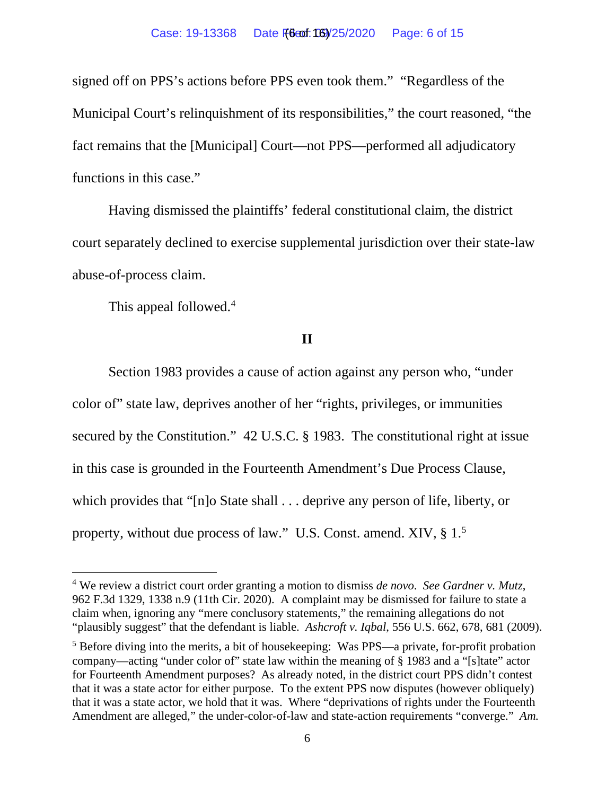signed off on PPS's actions before PPS even took them." "Regardless of the Municipal Court's relinquishment of its responsibilities," the court reasoned, "the fact remains that the [Municipal] Court—not PPS—performed all adjudicatory functions in this case."

Having dismissed the plaintiffs' federal constitutional claim, the district court separately declined to exercise supplemental jurisdiction over their state-law abuse-of-process claim.

This appeal followed.<sup>[4](#page-13-0)</sup>

**II**

Section 1983 provides a cause of action against any person who, "under color of" state law, deprives another of her "rights, privileges, or immunities secured by the Constitution." 42 U.S.C. § 1983. The constitutional right at issue in this case is grounded in the Fourteenth Amendment's Due Process Clause, which provides that "[n]o State shall . . . deprive any person of life, liberty, or property, without due process of law." U.S. Const. amend. XIV, § 1.<sup>[5](#page-13-0)</sup>

<sup>4</sup> We review a district court order granting a motion to dismiss *de novo*. *See Gardner v. Mutz*, 962 F.3d 1329, 1338 n.9 (11th Cir. 2020). A complaint may be dismissed for failure to state a claim when, ignoring any "mere conclusory statements," the remaining allegations do not "plausibly suggest" that the defendant is liable. *Ashcroft v. Iqbal*, 556 U.S. 662, 678, 681 (2009).

<sup>&</sup>lt;sup>5</sup> Before diving into the merits, a bit of housekeeping: Was PPS—a private, for-profit probation company—acting "under color of" state law within the meaning of § 1983 and a "[s]tate" actor for Fourteenth Amendment purposes? As already noted, in the district court PPS didn't contest that it was a state actor for either purpose. To the extent PPS now disputes (however obliquely) that it was a state actor, we hold that it was. Where "deprivations of rights under the Fourteenth Amendment are alleged," the under-color-of-law and state-action requirements "converge." *Am.*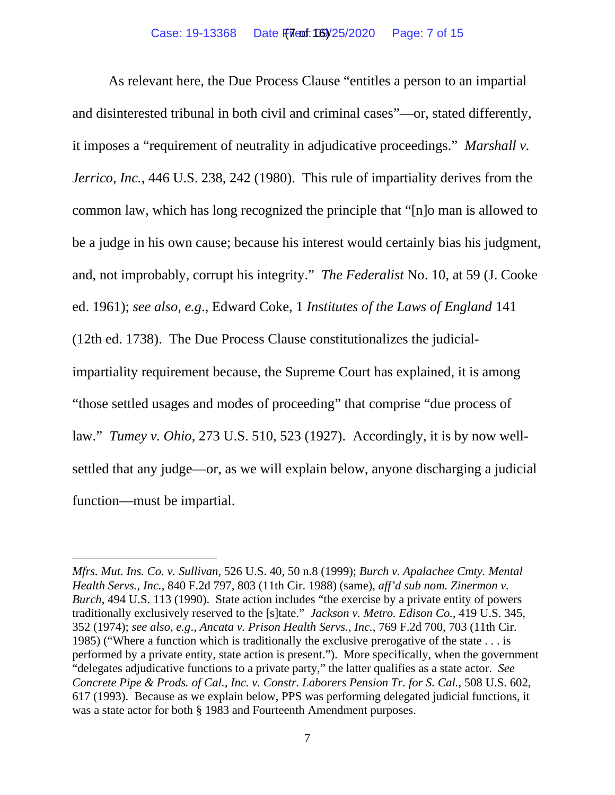As relevant here, the Due Process Clause "entitles a person to an impartial and disinterested tribunal in both civil and criminal cases"—or, stated differently, it imposes a "requirement of neutrality in adjudicative proceedings." *Marshall v. Jerrico, Inc.*, 446 U.S. 238, 242 (1980). This rule of impartiality derives from the common law, which has long recognized the principle that "[n]o man is allowed to be a judge in his own cause; because his interest would certainly bias his judgment, and, not improbably, corrupt his integrity." *The Federalist* No. 10, at 59 (J. Cooke ed. 1961); *see also, e.g*., Edward Coke, 1 *Institutes of the Laws of England* 141 (12th ed. 1738). The Due Process Clause constitutionalizes the judicialimpartiality requirement because, the Supreme Court has explained, it is among "those settled usages and modes of proceeding" that comprise "due process of law." *Tumey v. Ohio*, 273 U.S. 510, 523 (1927). Accordingly, it is by now wellsettled that any judge—or, as we will explain below, anyone discharging a judicial function—must be impartial.

*Mfrs. Mut. Ins. Co. v. Sullivan*, 526 U.S. 40, 50 n.8 (1999); *Burch v. Apalachee Cmty. Mental Health Servs., Inc.*, 840 F.2d 797, 803 (11th Cir. 1988) (same), *aff'd sub nom. Zinermon v. Burch*, 494 U.S. 113 (1990). State action includes "the exercise by a private entity of powers traditionally exclusively reserved to the [s]tate." *Jackson v. Metro. Edison Co.*, 419 U.S. 345, 352 (1974); *see also, e.g*., *Ancata v. Prison Health Servs., Inc.*, 769 F.2d 700, 703 (11th Cir. 1985) ("Where a function which is traditionally the exclusive prerogative of the state . . . is performed by a private entity, state action is present."). More specifically, when the government "delegates adjudicative functions to a private party," the latter qualifies as a state actor. *See Concrete Pipe & Prods. of Cal., Inc. v. Constr. Laborers Pension Tr. for S. Cal.*, 508 U.S. 602, 617 (1993). Because as we explain below, PPS was performing delegated judicial functions, it was a state actor for both § 1983 and Fourteenth Amendment purposes.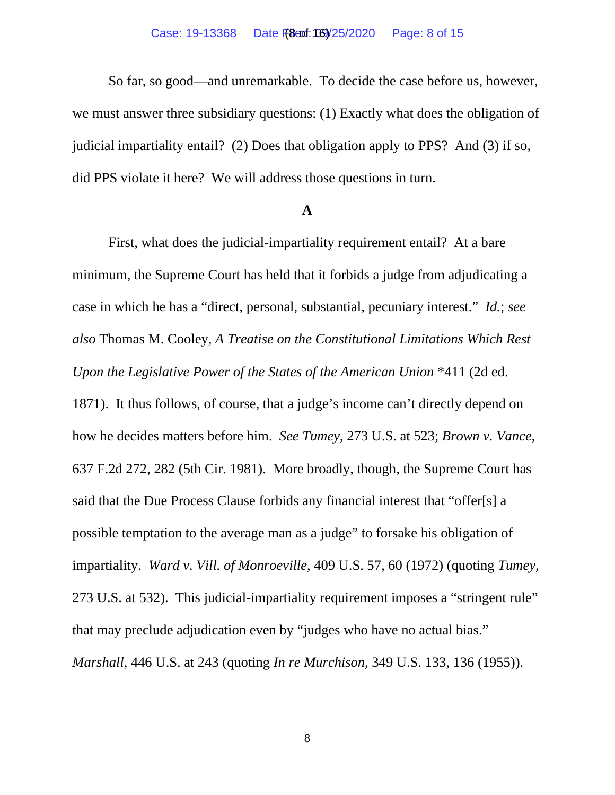#### Case: 19-13368 Date F(8 or 105) 25/2020 Page: 8 of 15

So far, so good—and unremarkable. To decide the case before us, however, we must answer three subsidiary questions: (1) Exactly what does the obligation of judicial impartiality entail? (2) Does that obligation apply to PPS? And (3) if so, did PPS violate it here? We will address those questions in turn.

### **A**

First, what does the judicial-impartiality requirement entail? At a bare minimum, the Supreme Court has held that it forbids a judge from adjudicating a case in which he has a "direct, personal, substantial, pecuniary interest." *Id.*; *see also* Thomas M. Cooley, *A Treatise on the Constitutional Limitations Which Rest Upon the Legislative Power of the States of the American Union* \*411 (2d ed. 1871). It thus follows, of course, that a judge's income can't directly depend on how he decides matters before him. *See Tumey*, 273 U.S. at 523; *Brown v. Vance*, 637 F.2d 272, 282 (5th Cir. 1981). More broadly, though, the Supreme Court has said that the Due Process Clause forbids any financial interest that "offer[s] a possible temptation to the average man as a judge" to forsake his obligation of impartiality. *Ward v. Vill. of Monroeville*, 409 U.S. 57, 60 (1972) (quoting *Tumey*, 273 U.S. at 532). This judicial-impartiality requirement imposes a "stringent rule" that may preclude adjudication even by "judges who have no actual bias." *Marshall*, 446 U.S. at 243 (quoting *In re Murchison*, 349 U.S. 133, 136 (1955)).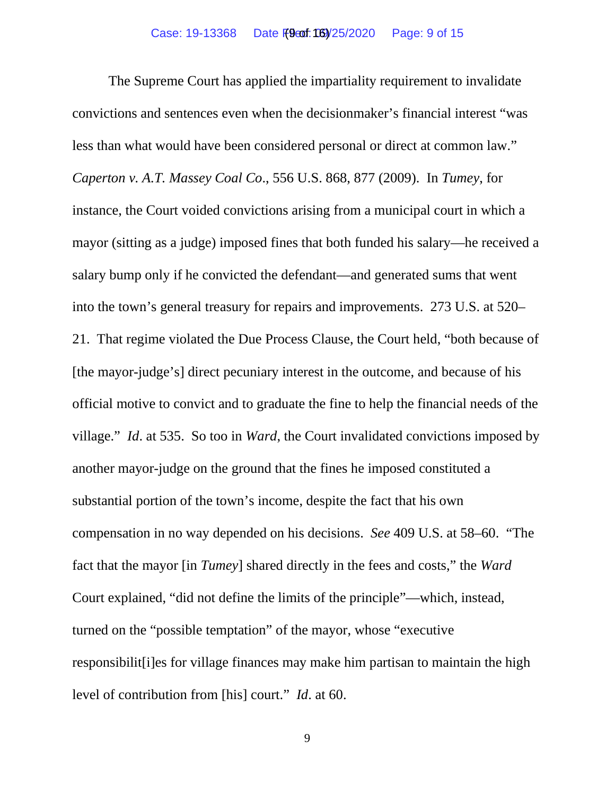The Supreme Court has applied the impartiality requirement to invalidate convictions and sentences even when the decisionmaker's financial interest "was less than what would have been considered personal or direct at common law." *Caperton v. A.T. Massey Coal Co*., 556 U.S. 868, 877 (2009). In *Tumey*, for instance, the Court voided convictions arising from a municipal court in which a mayor (sitting as a judge) imposed fines that both funded his salary—he received a salary bump only if he convicted the defendant—and generated sums that went into the town's general treasury for repairs and improvements. 273 U.S. at 520– 21. That regime violated the Due Process Clause, the Court held, "both because of [the mayor-judge's] direct pecuniary interest in the outcome, and because of his official motive to convict and to graduate the fine to help the financial needs of the village." *Id*. at 535. So too in *Ward*, the Court invalidated convictions imposed by another mayor-judge on the ground that the fines he imposed constituted a substantial portion of the town's income, despite the fact that his own compensation in no way depended on his decisions. *See* 409 U.S. at 58–60. "The fact that the mayor [in *Tumey*] shared directly in the fees and costs," the *Ward* Court explained, "did not define the limits of the principle"—which, instead, turned on the "possible temptation" of the mayor, whose "executive responsibilit[i]es for village finances may make him partisan to maintain the high level of contribution from [his] court." *Id*. at 60.

9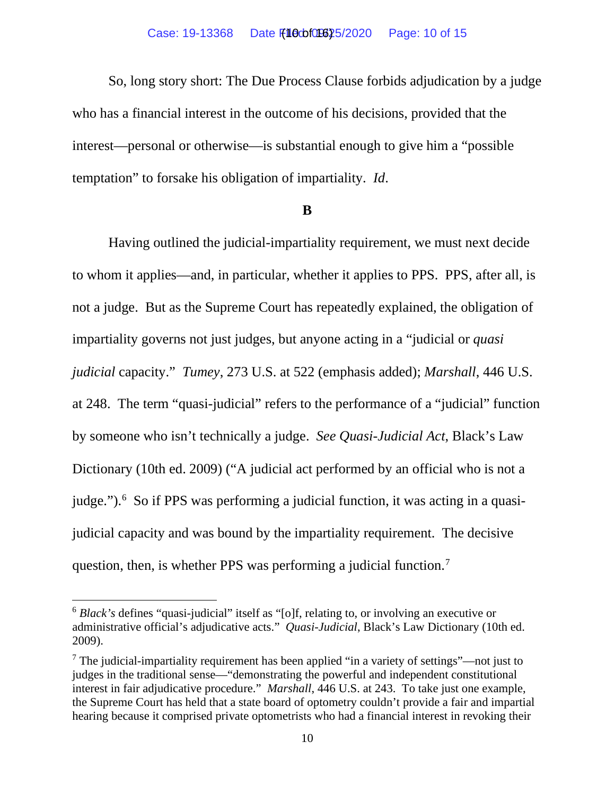So, long story short: The Due Process Clause forbids adjudication by a judge who has a financial interest in the outcome of his decisions, provided that the interest—personal or otherwise—is substantial enough to give him a "possible temptation" to forsake his obligation of impartiality. *Id*.

#### **B**

Having outlined the judicial-impartiality requirement, we must next decide to whom it applies—and, in particular, whether it applies to PPS. PPS, after all, is not a judge. But as the Supreme Court has repeatedly explained, the obligation of impartiality governs not just judges, but anyone acting in a "judicial or *quasi judicial* capacity." *Tumey*, 273 U.S. at 522 (emphasis added); *Marshall*, 446 U.S. at 248. The term "quasi-judicial" refers to the performance of a "judicial" function by someone who isn't technically a judge. *See Quasi-Judicial Act*, Black's Law Dictionary (10th ed. 2009) ("A judicial act performed by an official who is not a judge."). [6](#page-13-0) So if PPS was performing a judicial function, it was acting in a quasijudicial capacity and was bound by the impartiality requirement. The decisive question, then, is whether PPS was performing a judicial function.<sup>[7](#page-13-0)</sup>

<sup>6</sup> *Black's* defines "quasi-judicial" itself as "[o]f, relating to, or involving an executive or administrative official's adjudicative acts." *Quasi-Judicial*, Black's Law Dictionary (10th ed. 2009).

<sup>&</sup>lt;sup>7</sup> The judicial-impartiality requirement has been applied "in a variety of settings"—not just to judges in the traditional sense—"demonstrating the powerful and independent constitutional interest in fair adjudicative procedure." *Marshall*, 446 U.S. at 243.To take just one example, the Supreme Court has held that a state board of optometry couldn't provide a fair and impartial hearing because it comprised private optometrists who had a financial interest in revoking their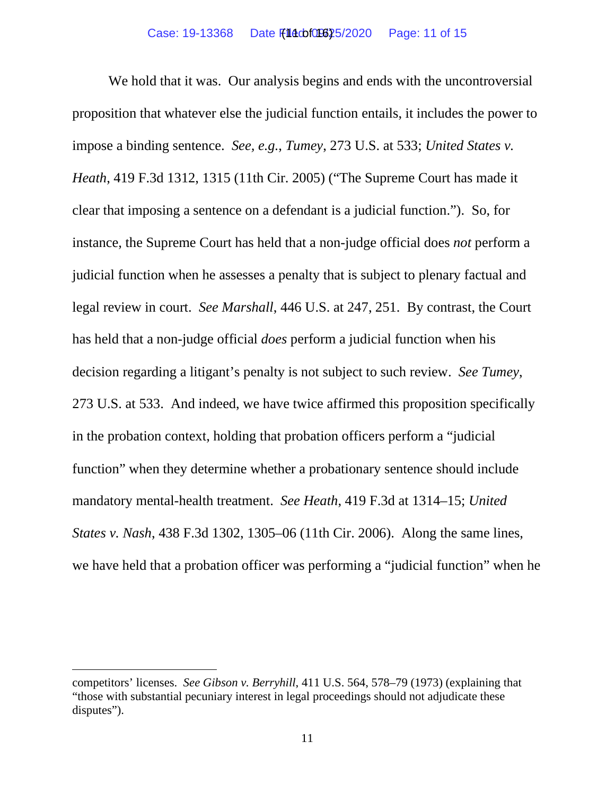We hold that it was. Our analysis begins and ends with the uncontroversial proposition that whatever else the judicial function entails, it includes the power to impose a binding sentence. *See, e.g.*, *Tumey*, 273 U.S. at 533; *United States v. Heath*, 419 F.3d 1312, 1315 (11th Cir. 2005) ("The Supreme Court has made it clear that imposing a sentence on a defendant is a judicial function."). So, for instance, the Supreme Court has held that a non-judge official does *not* perform a judicial function when he assesses a penalty that is subject to plenary factual and legal review in court. *See Marshall*, 446 U.S. at 247, 251. By contrast, the Court has held that a non-judge official *does* perform a judicial function when his decision regarding a litigant's penalty is not subject to such review. *See Tumey*, 273 U.S. at 533. And indeed, we have twice affirmed this proposition specifically in the probation context, holding that probation officers perform a "judicial function" when they determine whether a probationary sentence should include mandatory mental-health treatment. *See Heath*, 419 F.3d at 1314–15; *United States v. Nash*, 438 F.3d 1302, 1305–06 (11th Cir. 2006). Along the same lines, we have held that a probation officer was performing a "judicial function" when he

competitors' licenses. *See Gibson v. Berryhill*, 411 U.S. 564, 578–79 (1973) (explaining that "those with substantial pecuniary interest in legal proceedings should not adjudicate these disputes").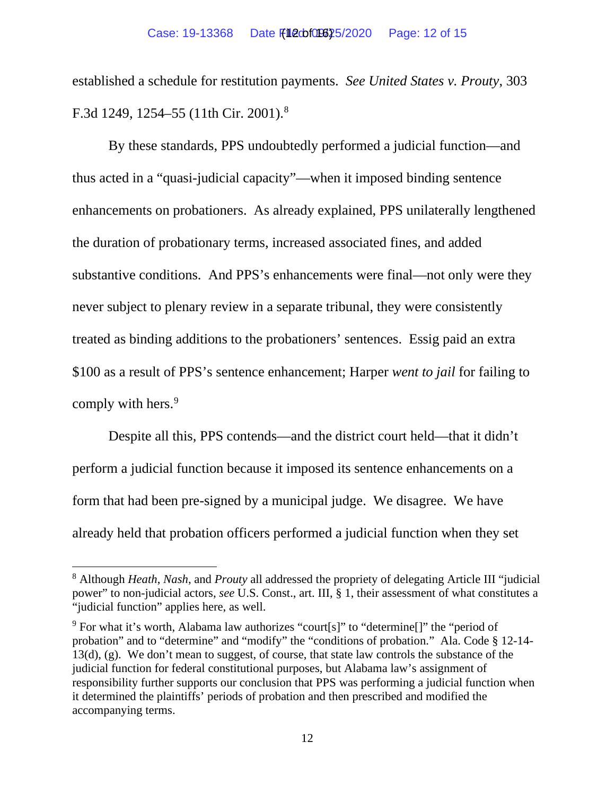established a schedule for restitution payments. *See United States v. Prouty*, 303 F.3d 1249, 1254–55 (11th Cir. 2001).<sup>[8](#page-13-0)</sup>

By these standards, PPS undoubtedly performed a judicial function—and thus acted in a "quasi-judicial capacity"—when it imposed binding sentence enhancements on probationers. As already explained, PPS unilaterally lengthened the duration of probationary terms, increased associated fines, and added substantive conditions. And PPS's enhancements were final—not only were they never subject to plenary review in a separate tribunal, they were consistently treated as binding additions to the probationers' sentences. Essig paid an extra \$100 as a result of PPS's sentence enhancement; Harper *went to jail* for failing to comply with hers.<sup>[9](#page-13-0)</sup>

Despite all this, PPS contends—and the district court held—that it didn't perform a judicial function because it imposed its sentence enhancements on a form that had been pre-signed by a municipal judge. We disagree. We have already held that probation officers performed a judicial function when they set

<sup>8</sup> Although *Heath*, *Nash*, and *Prouty* all addressed the propriety of delegating Article III "judicial power" to non-judicial actors, *see* U.S. Const., art. III, § 1, their assessment of what constitutes a "judicial function" applies here, as well.

<sup>&</sup>lt;sup>9</sup> For what it's worth, Alabama law authorizes "court[s]" to "determine[]" the "period of probation" and to "determine" and "modify" the "conditions of probation." Ala. Code § 12-14- 13(d), (g). We don't mean to suggest, of course, that state law controls the substance of the judicial function for federal constitutional purposes, but Alabama law's assignment of responsibility further supports our conclusion that PPS was performing a judicial function when it determined the plaintiffs' periods of probation and then prescribed and modified the accompanying terms.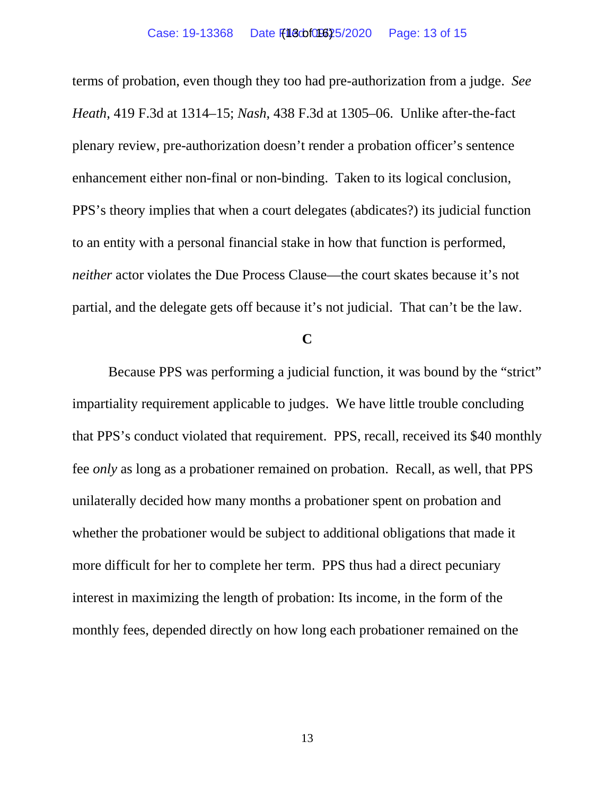terms of probation, even though they too had pre-authorization from a judge. *See Heath*, 419 F.3d at 1314–15; *Nash*, 438 F.3d at 1305–06. Unlike after-the-fact plenary review, pre-authorization doesn't render a probation officer's sentence enhancement either non-final or non-binding. Taken to its logical conclusion, PPS's theory implies that when a court delegates (abdicates?) its judicial function to an entity with a personal financial stake in how that function is performed, *neither* actor violates the Due Process Clause—the court skates because it's not partial, and the delegate gets off because it's not judicial. That can't be the law.

## **C**

Because PPS was performing a judicial function, it was bound by the "strict" impartiality requirement applicable to judges. We have little trouble concluding that PPS's conduct violated that requirement. PPS, recall, received its \$40 monthly fee *only* as long as a probationer remained on probation. Recall, as well, that PPS unilaterally decided how many months a probationer spent on probation and whether the probationer would be subject to additional obligations that made it more difficult for her to complete her term. PPS thus had a direct pecuniary interest in maximizing the length of probation: Its income, in the form of the monthly fees, depended directly on how long each probationer remained on the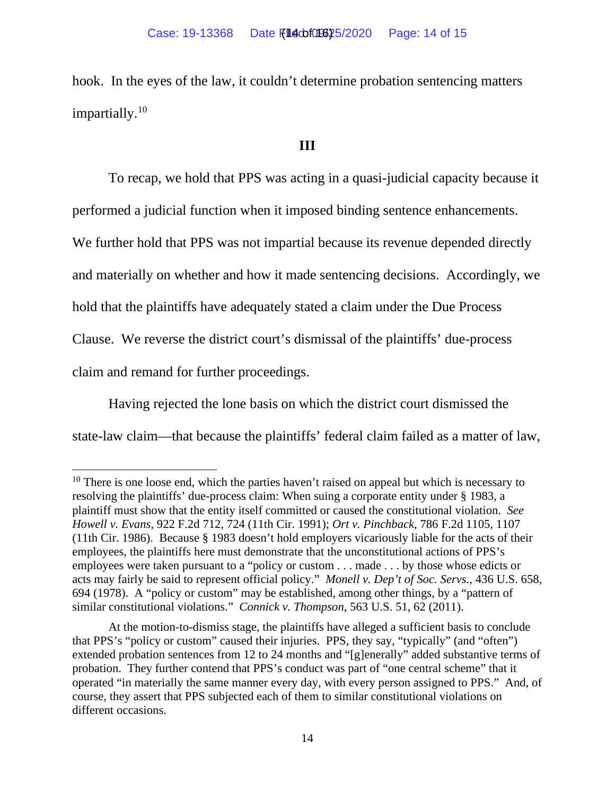hook. In the eyes of the law, it couldn't determine probation sentencing matters impartially. [10](#page-13-0)

## **III**

To recap, we hold that PPS was acting in a quasi-judicial capacity because it performed a judicial function when it imposed binding sentence enhancements. We further hold that PPS was not impartial because its revenue depended directly and materially on whether and how it made sentencing decisions. Accordingly, we hold that the plaintiffs have adequately stated a claim under the Due Process Clause. We reverse the district court's dismissal of the plaintiffs' due-process claim and remand for further proceedings.

Having rejected the lone basis on which the district court dismissed the state-law claim—that because the plaintiffs' federal claim failed as a matter of law,

<span id="page-13-0"></span> $10$  There is one loose end, which the parties haven't raised on appeal but which is necessary to resolving the plaintiffs' due-process claim: When suing a corporate entity under § 1983, a plaintiff must show that the entity itself committed or caused the constitutional violation. *See Howell v. Evans*, 922 F.2d 712, 724 (11th Cir. 1991); *Ort v. Pinchback*, 786 F.2d 1105, 1107 (11th Cir. 1986). Because § 1983 doesn't hold employers vicariously liable for the acts of their employees, the plaintiffs here must demonstrate that the unconstitutional actions of PPS's employees were taken pursuant to a "policy or custom . . . made . . . by those whose edicts or acts may fairly be said to represent official policy." *Monell v. Dep't of Soc. Servs.*, 436 U.S. 658, 694 (1978). A "policy or custom" may be established, among other things, by a "pattern of similar constitutional violations." *Connick v. Thompson*, 563 U.S. 51, 62 (2011).

At the motion-to-dismiss stage, the plaintiffs have alleged a sufficient basis to conclude that PPS's "policy or custom" caused their injuries. PPS, they say, "typically" (and "often") extended probation sentences from 12 to 24 months and "[g]enerally" added substantive terms of probation. They further contend that PPS's conduct was part of "one central scheme" that it operated "in materially the same manner every day, with every person assigned to PPS." And, of course, they assert that PPS subjected each of them to similar constitutional violations on different occasions.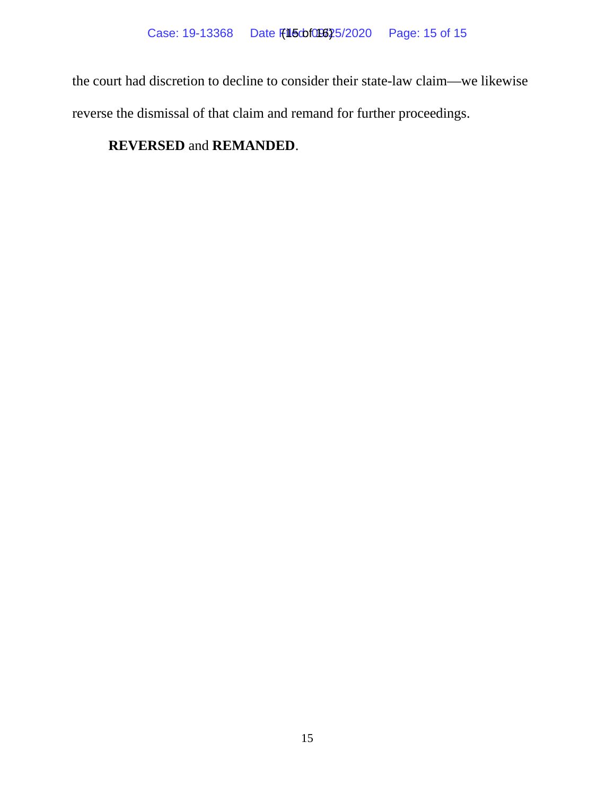the court had discretion to decline to consider their state-law claim—we likewise reverse the dismissal of that claim and remand for further proceedings.

# **REVERSED** and **REMANDED**.